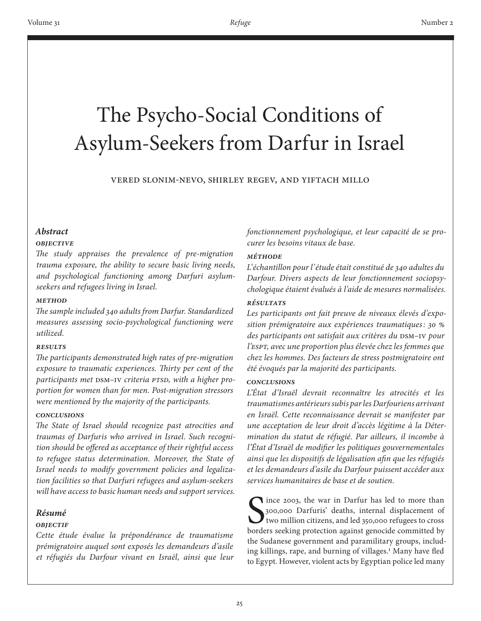# The Psycho-Social Conditions of Asylum-Seekers from Darfur in Israel

Vered Slonim-Nevo, Shirley Regev, and Yiftach Millo

# *Abstract*

## *Objective*

*The study appraises the prevalence of pre-migration trauma exposure, the ability to secure basic living needs, and psychological functioning among Darfuri asylumseekers and refugees living in Israel.*

## *Method*

*The sample included 340 adults from Darfur. Standardized measures assessing socio-psychological functioning were utilized.*

#### *Results*

*The participants demonstrated high rates of pre-migration exposure to traumatic experiences. Thirty per cent of the participants met* DSM–IV *criteria PTSD, with a higher proportion for women than for men. Post-migration stressors were mentioned by the majority of the participants.*

## *Conclusions*

*The State of Israel should recognize past atrocities and traumas of Darfuris who arrived in Israel. Such recognition should be offered as acceptance of their rightful access to refugee status determination. Moreover, the State of Israel needs to modify government policies and legalization facilities so that Darfuri refugees and asylum-seekers will have access to basic human needs and support services.*

# *Résumé*

## *Objectif*

*Cette étude évalue la prépondérance de traumatisme prémigratoire auquel sont exposés les demandeurs d'asile et réfugiés du Darfour vivant en Israël, ainsi que leur*  *fonctionnement psychologique, et leur capacité de se procurer les besoins vitaux de base.* 

## *Méthode*

*L'échantillon pour l'étude était constitué de 340 adultes du Darfour. Divers aspects de leur fonctionnement sociopsychologique étaient évalués à l'aide de mesures normalisées.* 

## *Résultats*

*Les participants ont fait preuve de niveaux élevés d'exposition prémigratoire aux expériences traumatiques: 30 % des participants ont satisfait aux critères du* DSM–IV *pour l'ESPT, avec une proportion plus élevée chez les femmes que chez les hommes. Des facteurs de stress postmigratoire ont été évoqués par la majorité des participants.* 

#### *Conclusions*

*L'État d'Israël devrait reconnaître les atrocités et les traumatismes antérieurs subis par les Darfouriens arrivant en Israël. Cette reconnaissance devrait se manifester par une acceptation de leur droit d'accès légitime à la Détermination du statut de réfugié. Par ailleurs, il incombe à l'État d'Israël de modifier les politiques gouvernementales ainsi que les dispositifs de légalisation afin que les réfugiés et les demandeurs d'asile du Darfour puissent accéder aux services humanitaires de base et de soutien.* 

Since 2003, the war in Darfur has led to more than<br>300,000 Darfuris' deaths, internal displacement of<br>two million citizens, and led 350,000 refugees to cross<br>borders seeking protection against genocide committed by ince 2003, the war in Darfur has led to more than 300,000 Darfuris' deaths, internal displacement of two million citizens, and led 350,000 refugees to cross the Sudanese government and paramilitary groups, including killings, rape, and burning of villages.<sup>1</sup> Many have fled to Egypt. However, violent acts by Egyptian police led many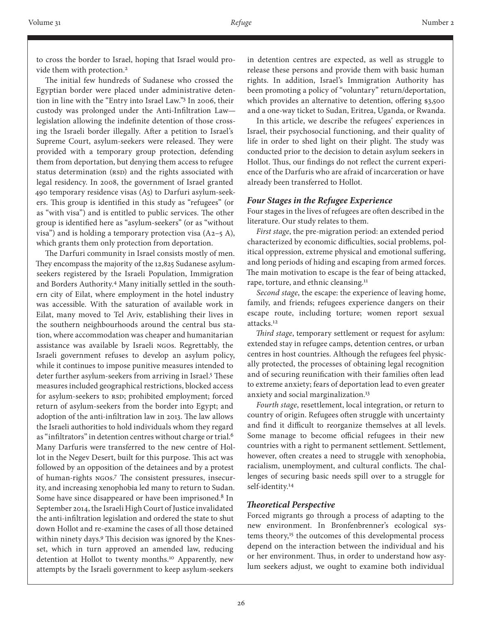to cross the border to Israel, hoping that Israel would provide them with protection.<sup>2</sup>

The initial few hundreds of Sudanese who crossed the Egyptian border were placed under administrative detention in line with the "Entry into Israel Law."3 In 2006, their custody was prolonged under the Anti-Infiltration Law legislation allowing the indefinite detention of those crossing the Israeli border illegally. After a petition to Israel's Supreme Court, asylum-seekers were released. They were provided with a temporary group protection, defending them from deportation, but denying them access to refugee status determination (RSD) and the rights associated with legal residency. In 2008, the government of Israel granted 490 temporary residence visas (A5) to Darfuri asylum-seekers. This group is identified in this study as "refugees" (or as "with visa") and is entitled to public services. The other group is identified here as "asylum-seekers" (or as "without visa") and is holding a temporary protection visa  $(A_2 - 5 A)$ , which grants them only protection from deportation.

The Darfuri community in Israel consists mostly of men. They encompass the majority of the 12,825 Sudanese asylumseekers registered by the Israeli Population, Immigration and Borders Authority.4 Many initially settled in the southern city of Eilat, where employment in the hotel industry was accessible. With the saturation of available work in Eilat, many moved to Tel Aviv, establishing their lives in the southern neighbourhoods around the central bus station, where accommodation was cheaper and humanitarian assistance was available by Israeli NGOs. Regrettably, the Israeli government refuses to develop an asylum policy, while it continues to impose punitive measures intended to deter further asylum-seekers from arriving in Israel.<sup>5</sup> These measures included geographical restrictions, blocked access for asylum-seekers to RSD; prohibited employment; forced return of asylum-seekers from the border into Egypt; and adoption of the anti-infiltration law in 2013. The law allows the Israeli authorities to hold individuals whom they regard as "infiltrators" in detention centres without charge or trial.<sup>6</sup> Many Darfuris were transferred to the new centre of Hollot in the Negev Desert, built for this purpose. This act was followed by an opposition of the detainees and by a protest of human-rights NGOs.7 The consistent pressures, insecurity, and increasing xenophobia led many to return to Sudan. Some have since disappeared or have been imprisoned.<sup>8</sup> In September 2014, the Israeli High Court of Justice invalidated the anti-infiltration legislation and ordered the state to shut down Hollot and re-examine the cases of all those detained within ninety days.<sup>9</sup> This decision was ignored by the Knesset, which in turn approved an amended law, reducing detention at Hollot to twenty months.<sup>10</sup> Apparently, new attempts by the Israeli government to keep asylum-seekers

in detention centres are expected, as well as struggle to release these persons and provide them with basic human rights. In addition, Israel's Immigration Authority has been promoting a policy of "voluntary" return/deportation, which provides an alternative to detention, offering \$3,500 and a one-way ticket to Sudan, Eritrea, Uganda, or Rwanda.

In this article, we describe the refugees' experiences in Israel, their psychosocial functioning, and their quality of life in order to shed light on their plight. The study was conducted prior to the decision to detain asylum seekers in Hollot. Thus, our findings do not reflect the current experience of the Darfuris who are afraid of incarceration or have already been transferred to Hollot.

#### *Four Stages in the Refugee Experience*

Four stages in the lives of refugees are often described in the literature. Our study relates to them.

*First stage*, the pre-migration period: an extended period characterized by economic difficulties, social problems, political oppression, extreme physical and emotional suffering, and long periods of hiding and escaping from armed forces. The main motivation to escape is the fear of being attacked, rape, torture, and ethnic cleansing.<sup>11</sup>

*Second stage*, the escape: the experience of leaving home, family, and friends; refugees experience dangers on their escape route, including torture; women report sexual attacks.12

*Third stage*, temporary settlement or request for asylum: extended stay in refugee camps, detention centres, or urban centres in host countries. Although the refugees feel physically protected, the processes of obtaining legal recognition and of securing reunification with their families often lead to extreme anxiety; fears of deportation lead to even greater anxiety and social marginalization.13

*Fourth stage*, resettlement, local integration, or return to country of origin. Refugees often struggle with uncertainty and find it difficult to reorganize themselves at all levels. Some manage to become official refugees in their new countries with a right to permanent settlement. Settlement, however, often creates a need to struggle with xenophobia, racialism, unemployment, and cultural conflicts. The challenges of securing basic needs spill over to a struggle for self-identity.14

#### *Theoretical Perspective*

Forced migrants go through a process of adapting to the new environment. In Bronfenbrenner's ecological systems theory,<sup>15</sup> the outcomes of this developmental process depend on the interaction between the individual and his or her environment. Thus, in order to understand how asylum seekers adjust, we ought to examine both individual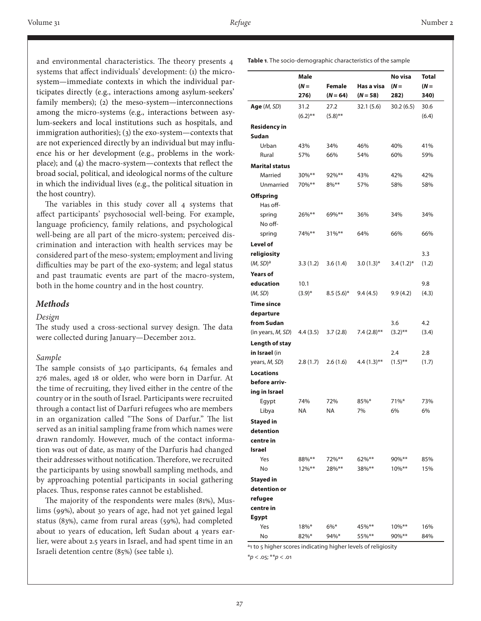and environmental characteristics. The theory presents 4 systems that affect individuals' development: (1) the microsystem—immediate contexts in which the individual participates directly (e.g., interactions among asylum-seekers' family members); (2) the meso-system—interconnections among the micro-systems (e.g., interactions between asylum-seekers and local institutions such as hospitals, and immigration authorities); (3) the exo-system—contexts that are not experienced directly by an individual but may influence his or her development (e.g., problems in the workplace); and (4) the macro-system—contexts that reflect the broad social, political, and ideological norms of the culture in which the individual lives (e.g., the political situation in the host country).

The variables in this study cover all 4 systems that affect participants' psychosocial well-being. For example, language proficiency, family relations, and psychological well-being are all part of the micro-system; perceived discrimination and interaction with health services may be considered part of the meso-system; employment and living difficulties may be part of the exo-system; and legal status and past traumatic events are part of the macro-system, both in the home country and in the host country.

## *Methods*

#### *Design*

The study used a cross-sectional survey design. The data were collected during January—December 2012.

#### *Sample*

The sample consists of 340 participants, 64 females and 276 males, aged 18 or older, who were born in Darfur. At the time of recruiting, they lived either in the centre of the country or in the south of Israel. Participants were recruited through a contact list of Darfuri refugees who are members in an organization called "The Sons of Darfur." The list served as an initial sampling frame from which names were drawn randomly. However, much of the contact information was out of date, as many of the Darfuris had changed their addresses without notification. Therefore, we recruited the participants by using snowball sampling methods, and by approaching potential participants in social gathering places. Thus, response rates cannot be established.

The majority of the respondents were males (81%), Muslims (99%), about 30 years of age, had not yet gained legal status (83%), came from rural areas (59%), had completed about 10 years of education, left Sudan about 4 years earlier, were about 2.5 years in Israel, and had spent time in an Israeli detention centre (85%) (see table 1).

|                       | Male        |              |               | No visa      | <b>Total</b> |
|-----------------------|-------------|--------------|---------------|--------------|--------------|
|                       | $(N =$      | Female       | Has a visa    | $(N =$       | $(N =$       |
|                       | 276)        | $(N = 64)$   | $(N = 58)$    | 282)         | 340)         |
| Age (M, SD)           | 31.2        | 27.2         | 32.1 (5.6)    | 30.2(6.5)    | 30.6         |
|                       | $(6.2)$ **  | $(5.8)$ **   |               |              | (6.4)        |
|                       |             |              |               |              |              |
| <b>Residency in</b>   |             |              |               |              |              |
| Sudan                 |             |              |               |              |              |
| Urban                 | 43%         | 34%          | 46%           | 40%          | 41%          |
| Rural                 | 57%         | 66%          | 54%           | 60%          | 59%          |
| <b>Marital status</b> |             |              |               |              |              |
| Married               | 30%**       | $92\%$ **    | 43%           | 42%          | 42%          |
| Unmarried             | 70%**       | $8\%***$     | 57%           | 58%          | 58%          |
| Offspring             |             |              |               |              |              |
| Has off-              |             |              |               |              |              |
| spring                | 26%**       | 69%**        | 36%           | 34%          | 34%          |
| No off-               |             |              |               |              |              |
| spring                | 74%**       | $31\%***$    | 64%           | 66%          | 66%          |
| Level of              |             |              |               |              |              |
| religiosity           |             |              |               |              | 3.3          |
| (M, SD) <sup>a</sup>  | 3.3(1.2)    | 3.6(1.4)     | $3.0(1.3)$ *  | $3.4(1.2)$ * | (1.2)        |
| <b>Years of</b>       |             |              |               |              |              |
| education             | 10.1        |              |               |              | 9.8          |
| (M, SD)               | $(3.9)^{*}$ | $8.5(5.6)^*$ | 9.4(4.5)      | 9.9(4.2)     | (4.3)        |
|                       |             |              |               |              |              |
| <b>Time since</b>     |             |              |               |              |              |
| departure             |             |              |               |              |              |
| from Sudan            |             |              |               | 3.6          | 4.2          |
| (in years, M, SD)     | 4.4(3.5)    | 3.7(2.8)     | $7.4(2.8)$ ** | $(3.2)$ **   | (3.4)        |
| Length of stay        |             |              |               |              |              |
| in Israel (in         |             |              |               | 2.4          | 2.8          |
| years, M, SD)         | 2.8(1.7)    | 2.6(1.6)     | $4.4(1.3)$ ** | $(1.5)$ **   | (1.7)        |
| <b>Locations</b>      |             |              |               |              |              |
| before arriv-         |             |              |               |              |              |
| ing in Israel         |             |              |               |              |              |
| Egypt                 | 74%         | 72%          | 85%*          | $71\%$ *     | 73%          |
| Libya                 | ΝA          | <b>NA</b>    | 7%            | 6%           | 6%           |
| <b>Stayed in</b>      |             |              |               |              |              |
| detention             |             |              |               |              |              |
| centre in             |             |              |               |              |              |
| Israel                |             |              |               |              |              |
| Yes                   | 88%**       | 72%**        | $62\%$ **     | 90%**        | 85%          |
| No                    | $12\%***$   | 28%**        | 38%**         | $10\%***$    | 15%          |
| <b>Stayed in</b>      |             |              |               |              |              |
| detention or          |             |              |               |              |              |
| refugee               |             |              |               |              |              |
| centre in             |             |              |               |              |              |
| Egypt                 |             |              |               |              |              |
| Yes                   | $18\%*$     | $6\%*$       | 45%**         | 10%**        | 16%          |
| No                    | 82%*        | 94%*         | 55%**         | $90\%***$    | 84%          |

<sup>a</sup>1 to 5 higher scores indicating higher levels of religiosity

\**p* < .05; \*\**p* < .01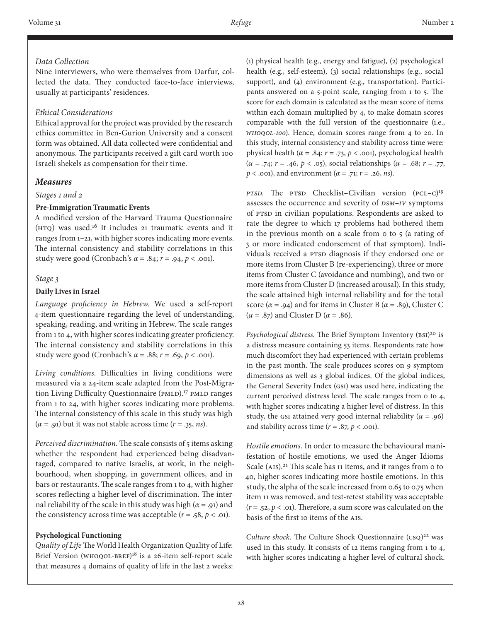# *Data Collection*

Nine interviewers, who were themselves from Darfur, collected the data. They conducted face-to-face interviews, usually at participants' residences.

## *Ethical Considerations*

Ethical approval for the project was provided by the research ethics committee in Ben-Gurion University and a consent form was obtained. All data collected were confidential and anonymous. The participants received a gift card worth 100 Israeli shekels as compensation for their time.

# *Measures*

## *Stages 1 and 2*

## **Pre-Immigration Traumatic Events**

A modified version of the Harvard Trauma Questionnaire (HTQ) was used.16 It includes 21 traumatic events and it ranges from 1–21, with higher scores indicating more events. The internal consistency and stability correlations in this study were good (Cronbach's *α* = .84; *r* = .94, *p* < .001).

#### *Stage 3*

## **Daily Lives in Israel**

*Language proficiency in Hebrew.* We used a self-report 4-item questionnaire regarding the level of understanding, speaking, reading, and writing in Hebrew. The scale ranges from 1 to 4, with higher scores indicating greater proficiency. The internal consistency and stability correlations in this study were good (Cronbach's  $\alpha$  = .88;  $r$  = .69,  $p$  < .001).

*Living conditions.* Difficulties in living conditions were measured via a 24-item scale adapted from the Post-Migration Living Difficulty Questionnaire (PMLD).17 PMLD ranges from 1 to 24, with higher scores indicating more problems. The internal consistency of this scale in this study was high  $(\alpha = .91)$  but it was not stable across time  $(r = .35, ns)$ .

*Perceived discrimination.* The scale consists of 5 items asking whether the respondent had experienced being disadvantaged, compared to native Israelis, at work, in the neighbourhood, when shopping, in government offices, and in bars or restaurants. The scale ranges from 1 to 4, with higher scores reflecting a higher level of discrimination. The internal reliability of the scale in this study was high (*α* = .91) and the consistency across time was acceptable  $(r = .58, p < .01)$ .

## **Psychological Functioning**

*Quality of Life* The World Health Organization Quality of Life: Brief Version (WHOQOL-BREF)18 is a 26-item self-report scale that measures 4 domains of quality of life in the last 2 weeks: (1) physical health (e.g., energy and fatigue), (2) psychological health (e.g., self-esteem), (3) social relationships (e.g., social support), and (4) environment (e.g., transportation). Participants answered on a 5-point scale, ranging from 1 to 5. The score for each domain is calculated as the mean score of items within each domain multiplied by 4, to make domain scores comparable with the full version of the questionnaire (i.e., *WHOQOL-100*). Hence, domain scores range from 4 to 20. In this study, internal consistency and stability across time were: physical health ( $\alpha$  = .84;  $r$  = .73,  $p$  < .001), psychological health (*α* = .74; *r* = .46, *p* < .05), social relationships (*α* = .68; *r* = .77, *p* < .001), and environment (*α* = .71; *r* = .26, *ns*).

*PTSD.* The PTSD Checklist–Civilian version (PCL–C)<sup>19</sup> assesses the occurrence and severity of *DSM–IV* symptoms of PTSD in civilian populations. Respondents are asked to rate the degree to which 17 problems had bothered them in the previous month on a scale from 0 to 5 (a rating of 3 or more indicated endorsement of that symptom). Individuals received a PTSD diagnosis if they endorsed one or more items from Cluster B (re-experiencing), three or more items from Cluster C (avoidance and numbing), and two or more items from Cluster D (increased arousal). In this study, the scale attained high internal reliability and for the total score ( $\alpha$  = .94) and for items in Cluster B ( $\alpha$  = .89), Cluster C (*α* = .87) and Cluster D (*α* = .86).

*Psychological distress.* The Brief Symptom Inventory (BSI)<sup>20</sup> is a distress measure containing 53 items. Respondents rate how much discomfort they had experienced with certain problems in the past month. The scale produces scores on 9 symptom dimensions as well as 3 global indices. Of the global indices, the General Severity Index (GSI) was used here, indicating the current perceived distress level. The scale ranges from 0 to 4, with higher scores indicating a higher level of distress. In this study, the GSI attained very good internal reliability ( $\alpha$  = .96) and stability across time  $(r = .87, p < .001)$ .

*Hostile emotions.* In order to measure the behavioural manifestation of hostile emotions, we used the Anger Idioms Scale (AIS).<sup>21</sup> This scale has 11 items, and it ranges from 0 to 40, higher scores indicating more hostile emotions. In this study, the alpha of the scale increased from 0.65 to 0.75 when item 11 was removed, and test-retest stability was acceptable  $(r = .52, p < .01)$ . Therefore, a sum score was calculated on the basis of the first 10 items of the AIS.

*Culture shock.* The Culture Shock Questionnaire (CSQ)<sup>22</sup> was used in this study. It consists of 12 items ranging from 1 to 4, with higher scores indicating a higher level of cultural shock.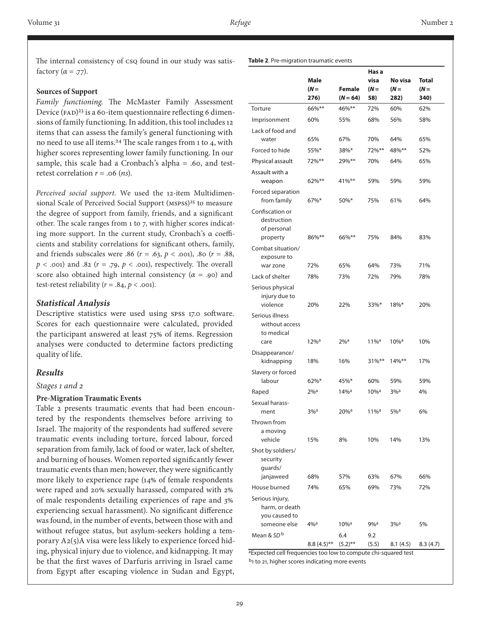**Table 2**. Pre-migration traumatic events

The internal consistency of csq found in our study was satisfactory  $(\alpha = .77)$ .

#### **Sources of Support**

*Family functioning.* The McMaster Family Assessment Device (FAD)<sup>23</sup> is a 60-item questionnaire reflecting 6 dimensions of family functioning. In addition, this tool includes 12 items that can assess the family's general functioning with no need to use all items.24 The scale ranges from 1 to 4, with higher scores representing lower family functioning. In our sample, this scale had a Cronbach's alpha  $= .60$ , and testretest correlation  $r = .06$  (*ns*).

*Perceived social support.* We used the 12-item Multidimensional Scale of Perceived Social Support (MSPSS)<sup>25</sup> to measure the degree of support from family, friends, and a significant other. The scale ranges from 1 to 7, with higher scores indicating more support. In the current study, Cronbach's α coefficients and stability correlations for significant others, family, and friends subscales were .86 ( $r = .63$ ,  $p < .001$ ), .80 ( $r = .88$ )  $p$  < .001) and .82 ( $r = .79$ ,  $p$  < .001), respectively. The overall score also obtained high internal consistency  $(\alpha = .90)$  and test-retest reliability  $(r = .84, p < .001)$ .

## *Statistical Analysis*

Descriptive statistics were used using SPSS 17.0 software. Scores for each questionnaire were calculated, provided the participant answered at least 75% of items. Regression analyses were conducted to determine factors predicting quality of life.

#### *Results*

#### *Stages 1 and 2*

#### **Pre-Migration Traumatic Events**

Table 2 presents traumatic events that had been encountered by the respondents themselves before arriving to Israel. The majority of the respondents had suffered severe traumatic events including torture, forced labour, forced separation from family, lack of food or water, lack of shelter, and burning of houses. Women reported significantly fewer traumatic events than men; however, they were significantly more likely to experience rape (14% of female respondents were raped and 20% sexually harassed, compared with 2% of male respondents detailing experiences of rape and 3% experiencing sexual harassment). No significant difference was found, in the number of events, between those with and without refugee status, but asylum-seekers holding a temporary A2(5)A visa were less likely to experience forced hiding, physical injury due to violence, and kidnapping. It may be that the first waves of Darfuris arriving in Israel came from Egypt after escaping violence in Sudan and Egypt,

|                                                           |                     |                             | Has a               |                    |                |  |
|-----------------------------------------------------------|---------------------|-----------------------------|---------------------|--------------------|----------------|--|
|                                                           | Male                |                             | visa                | No visa            |                |  |
|                                                           | $(N =$<br>276)      | <b>Female</b><br>$(N = 64)$ | $(N =$<br>58)       | $(N =$<br>282)     | $(N =$<br>340) |  |
| Torture                                                   | 66%**               | 46%**                       | 72%                 | 60%                | 62%            |  |
| Imprisonment                                              | 60%                 | 55%                         | 68%                 | 56%                | 58%            |  |
| Lack of food and<br>water                                 | 65%                 | 67%                         | 70%                 | 64%                | 65%            |  |
| Forced to hide                                            | 55%*                | 38%*                        | 72%**               | 48%**              | 52%            |  |
| Physical assault                                          | 72%**               | 29%**                       | 70%                 | 64%                | 65%            |  |
| Assault with a                                            |                     |                             |                     |                    |                |  |
| weapon                                                    | 62%**               | 41%**                       | 59%                 | 59%                | 59%            |  |
| Forced separation<br>from family                          | 67%*                | 50%*                        | 75%                 | 61%                | 64%            |  |
| Confiscation or<br>destruction<br>of personal<br>property | 86%**               | 66%**                       | 75%                 | 84%                | 83%            |  |
| Combat situation/<br>exposure to                          |                     | 65%                         | 64%                 | 73%                | 71%            |  |
| war zone<br>Lack of shelter                               | 72%                 | 73%                         | 72%                 | 79%                | 78%            |  |
| Serious physical<br>injury due to<br>violence             | 78%<br>20%          | 22%                         | 33%*                | $18\%*$            | 20%            |  |
| Serious illness<br>without access<br>to medical<br>care   | $12\%$ <sup>a</sup> | $2\%$ <sup>a</sup>          | $11\%$ <sup>a</sup> | $10\%$ a           | 10%            |  |
|                                                           |                     |                             |                     |                    |                |  |
| Disappearance/<br>kidnapping                              | 18%                 | 16%                         | $31\%***$           | $14\%***$          | 17%            |  |
| Slavery or forced<br>labour                               | $62\%$ *            | 45%*                        | 60%                 | 59%                | 59%            |  |
| Raped                                                     | $2\%$ <sup>a</sup>  | $14%$ <sup>a</sup>          | $10\%$ <sup>a</sup> | $3\%$ <sup>a</sup> | 4%             |  |
| Sexual harass-                                            |                     |                             |                     |                    |                |  |
| ment                                                      | $3%$ <sup>a</sup>   | $20\%$ <sup>a</sup>         | $11\%$ <sup>a</sup> | $5%$ <sup>a</sup>  | 6%             |  |
| Thrown from<br>a moving<br>vehicle                        | 15%                 | 8%                          | 10%                 | 14%                | 13%            |  |
| Shot by soldiers/<br>security<br>quards/                  |                     |                             |                     |                    |                |  |
| janjaweed                                                 | 68%                 | 57%                         | 63%                 | 67%                | 66%            |  |
| House burned                                              | 74%                 | 65%                         | 69%                 | 73%                | 72%            |  |
| Serious injury,<br>harm, or death<br>you caused to        |                     |                             |                     |                    |                |  |
| someone else                                              | $4\%$ <sup>a</sup>  | $10\%$ <sup>a</sup>         | $9\%$ <sup>a</sup>  | $3\%$ <sup>a</sup> | 5%             |  |
| Mean & SD <sup>b</sup>                                    | $8.8(4.5)$ **       | 6.4<br>$(5.2)$ **           | 9.2<br>(5.5)        | 8.1(4.5)           | 8.3(4.7)       |  |

aExpected cell frequencies too low to compute chi-squared test b<sub>1</sub> to 21, higher scores indicating more events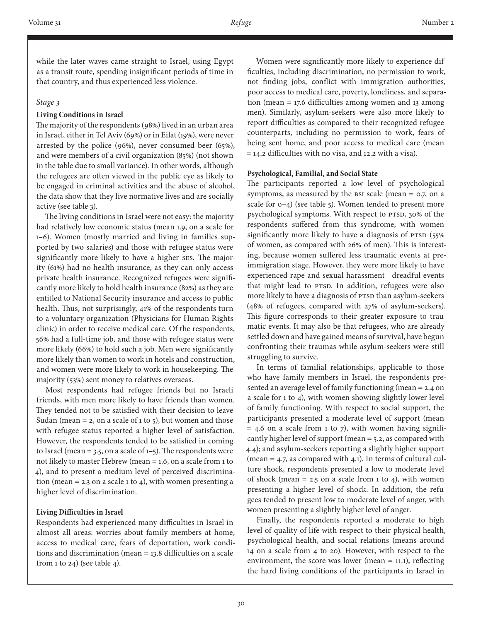while the later waves came straight to Israel, using Egypt as a transit route, spending insignificant periods of time in that country, and thus experienced less violence.

#### *Stage 3*

#### **Living Conditions in Israel**

The majority of the respondents (98%) lived in an urban area in Israel, either in Tel Aviv (69%) or in Eilat (19%), were never arrested by the police (96%), never consumed beer (65%), and were members of a civil organization (85%) (not shown in the table due to small variance). In other words, although the refugees are often viewed in the public eye as likely to be engaged in criminal activities and the abuse of alcohol, the data show that they live normative lives and are socially active (see table 3).

The living conditions in Israel were not easy: the majority had relatively low economic status (mean 1.9, on a scale for 1–6). Women (mostly married and living in families supported by two salaries) and those with refugee status were significantly more likely to have a higher ses. The majority (61%) had no health insurance, as they can only access private health insurance. Recognized refugees were significantly more likely to hold health insurance (82%) as they are entitled to National Security insurance and access to public health. Thus, not surprisingly, 41% of the respondents turn to a voluntary organization (Physicians for Human Rights clinic) in order to receive medical care. Of the respondents, 56% had a full-time job, and those with refugee status were more likely (66%) to hold such a job. Men were significantly more likely than women to work in hotels and construction, and women were more likely to work in housekeeping. The majority (53%) sent money to relatives overseas.

Most respondents had refugee friends but no Israeli friends, with men more likely to have friends than women. They tended not to be satisfied with their decision to leave Sudan (mean = 2, on a scale of 1 to 5), but women and those with refugee status reported a higher level of satisfaction. However, the respondents tended to be satisfied in coming to Israel (mean = 3.5, on a scale of  $1-5$ ). The respondents were not likely to master Hebrew (mean = 1.6, on a scale from 1 to 4), and to present a medium level of perceived discrimination (mean = 2.3 on a scale 1 to 4), with women presenting a higher level of discrimination.

#### **Living Difficulties in Israel**

Respondents had experienced many difficulties in Israel in almost all areas: worries about family members at home, access to medical care, fears of deportation, work conditions and discrimination (mean = 13.8 difficulties on a scale from 1 to 24) (see table 4).

Women were significantly more likely to experience difficulties, including discrimination, no permission to work, not finding jobs, conflict with immigration authorities, poor access to medical care, poverty, loneliness, and separation (mean = 17.6 difficulties among women and 13 among men). Similarly, asylum-seekers were also more likely to report difficulties as compared to their recognized refugee counterparts, including no permission to work, fears of being sent home, and poor access to medical care (mean = 14.2 difficulties with no visa, and 12.2 with a visa).

#### **Psychological, Familial, and Social State**

The participants reported a low level of psychological symptoms, as measured by the BSI scale (mean = 0.7, on a scale for  $o-4$ ) (see table 5). Women tended to present more psychological symptoms. With respect to PTSD, 30% of the respondents suffered from this syndrome, with women significantly more likely to have a diagnosis of PTSD (55%) of women, as compared with 26% of men). This is interesting, because women suffered less traumatic events at preimmigration stage. However, they were more likely to have experienced rape and sexual harassment—dreadful events that might lead to PTSD. In addition, refugees were also more likely to have a diagnosis of PTSD than asylum-seekers (48% of refugees, compared with 27% of asylum-seekers). This figure corresponds to their greater exposure to traumatic events. It may also be that refugees, who are already settled down and have gained means of survival, have begun confronting their traumas while asylum-seekers were still struggling to survive.

In terms of familial relationships, applicable to those who have family members in Israel, the respondents presented an average level of family functioning (mean = 2.4 on a scale for 1 to 4), with women showing slightly lower level of family functioning. With respect to social support, the participants presented a moderate level of support (mean  $=$  4.6 on a scale from 1 to 7), with women having significantly higher level of support (mean = 5.2, as compared with 4.4); and asylum-seekers reporting a slightly higher support (mean  $=$  4.7, as compared with 4.1). In terms of cultural culture shock, respondents presented a low to moderate level of shock (mean = 2.5 on a scale from 1 to 4), with women presenting a higher level of shock. In addition, the refugees tended to present low to moderate level of anger, with women presenting a slightly higher level of anger.

Finally, the respondents reported a moderate to high level of quality of life with respect to their physical health, psychological health, and social relations (means around 14 on a scale from 4 to 20). However, with respect to the environment, the score was lower (mean  $=$  11.1), reflecting the hard living conditions of the participants in Israel in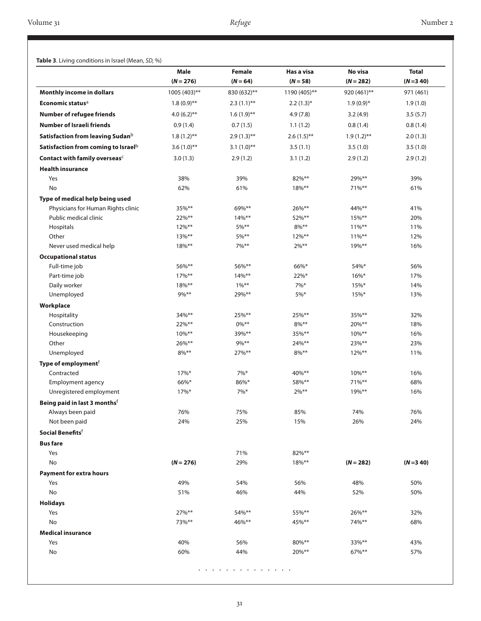#### **Table 3**. Living conditions in Israel (Mean, *SD,* %)

|                                                 | Male           | <b>Female</b> | Has a visa                 | No visa       | <b>Total</b> |
|-------------------------------------------------|----------------|---------------|----------------------------|---------------|--------------|
|                                                 | $(N = 276)$    | $(N = 64)$    | $(N = 58)$<br>1190 (405)** | $(N = 282)$   | $(N=3, 40)$  |
| Monthly income in dollars                       | 1005 (403)**   | 830 (632)**   |                            | 920 (461)**   | 971 (461)    |
| Economic status <sup>a</sup>                    | $1.8(0.9)$ **  | $2.3(1.1)$ ** | $2.2(1.3)*$                | $1.9(0.9)*$   | 1.9(1.0)     |
| <b>Number of refugee friends</b>                | 4.0 $(6.2)$ ** | $1.6(1.9)$ ** | 4.9(7.8)                   | 3.2(4.9)      | 3.5(5.7)     |
| <b>Number of Israeli friends</b>                | 0.9(1.4)       | 0.7(1.5)      | 1.1(1.2)                   | 0.8(1.4)      | 0.8(1.4)     |
| Satisfaction from leaving Sudan <sup>b</sup>    | $1.8(1.2)$ **  | $2.9(1.3)$ ** | $2.6(1.5)$ **              | $1.9(1.2)$ ** | 2.0(1.3)     |
| Satisfaction from coming to Israel <sup>b</sup> | $3.6(1.0)$ **  | $3.1(1.0)$ ** | 3.5(1.1)                   | 3.5(1.0)      | 3.5(1.0)     |
| Contact with family overseas <sup>c</sup>       | 3.0(1.3)       | 2.9(1.2)      | 3.1(1.2)                   | 2.9(1.2)      | 2.9(1.2)     |
| <b>Health insurance</b>                         |                |               |                            |               |              |
| Yes                                             | 38%            | 39%           | 82%**                      | 29%**         | 39%          |
| No                                              | 62%            | 61%           | $18\%***$                  | $71\%$ **     | 61%          |
| Type of medical help being used                 |                |               |                            |               |              |
| Physicians for Human Rights clinic              | $35\%***$      | 69%**         | 26%**                      | 44%**         | 41%          |
| Public medical clinic                           | 22%**          | 14%**         | 52%**                      | $15\%***$     | 20%          |
| Hospitals                                       | 12%**          | 5%**          | $8\%$ **                   | $11\%***$     | 11%          |
| Other                                           | $13\%**$       | 5%**          | $12\%$ **                  | $11\%***$     | 12%          |
| Never used medical help                         | 18%**          | 7%**          | $2\%$ **                   | 19%**         | 16%          |
| <b>Occupational status</b>                      |                |               |                            |               |              |
| Full-time job                                   | 56%**          | 56%**         | 66%*                       | 54%*          | 56%          |
| Part-time job                                   | $17\%$ **      | $14\%***$     | 22%*                       | $16\%$ *      | 17%          |
| Daily worker                                    | 18%**          | $1\%***$      | $7\%*$                     | 15%           | 14%          |
| Unemployed                                      | $9\%$ **       | 29%**         | $5%$ *                     | 15%           | 13%          |
| Workplace                                       |                |               |                            |               |              |
| Hospitality                                     | 34%**          | 25%**         | 25%**                      | $35\%***$     | 32%          |
| Construction                                    | 22%**          | $0\%***$      | $8\%***$                   | $20\%$ **     | 18%          |
| Housekeeping                                    | 10%**          | 39%**         | 35%**                      | $10\%***$     | 16%          |
| Other                                           | 26%**          | 9%**          | 24%**                      | $23\%$ **     | 23%          |
| Unemployed                                      | 8%**           | $27\%$ **     | $8\%***$                   | $12\%***$     | 11%          |
| Type of employment <sup>f</sup>                 |                |               |                            |               |              |
| Contracted                                      | 17%*           | $7\%*$        | 40%**                      | $10\%***$     | 16%          |
| <b>Employment agency</b>                        | 66%*           | 86%*          | 58%**                      | 71%**         | 68%          |
| Unregistered employment                         | 17%*           | 7%*           | $2\%$ **                   | $19\%***$     | 16%          |
| Being paid in last 3 monthsf                    |                |               |                            |               |              |
| Always been paid                                | 76%            | 75%           | 85%                        | 74%           | 76%          |
| Not been paid                                   | 24%            | 25%           | 15%                        | 26%           | 24%          |
| Social Benefits <sup>f</sup>                    |                |               |                            |               |              |
| <b>Bus fare</b>                                 |                |               |                            |               |              |
| Yes                                             |                | 71%           | 82%**                      |               |              |
| No                                              | $(N = 276)$    | 29%           | 18%**                      | $(N = 282)$   | $(N=3, 40)$  |
| <b>Payment for extra hours</b>                  |                |               |                            |               |              |
| Yes                                             | 49%            | 54%           | 56%                        | 48%           | 50%          |
| No                                              | 51%            | 46%           | 44%                        | 52%           | 50%          |
| <b>Holidays</b>                                 |                |               |                            |               |              |
| Yes                                             | 27%**          | 54%**         | 55%**                      | 26%**         | 32%          |
| No                                              | 73%**          | 46%**         | 45%**                      | 74%**         | 68%          |
| <b>Medical insurance</b>                        |                |               |                            |               |              |
| Yes                                             | 40%            | 56%           | 80%**                      | 33%**         | 43%          |
|                                                 |                |               |                            |               |              |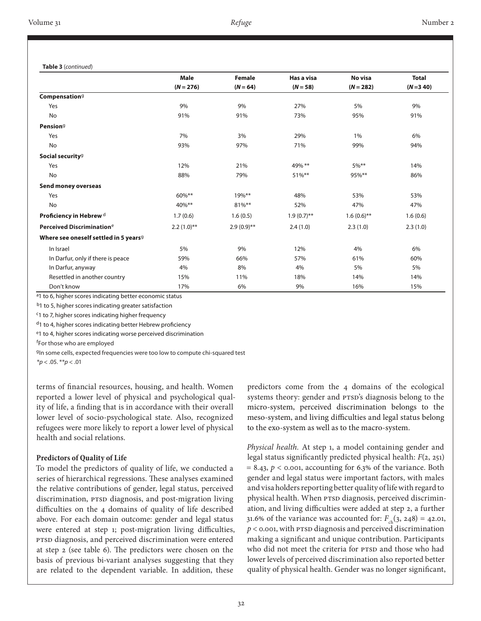**Table 3** (*continued*)

|                                                   | <b>Male</b>   | <b>Female</b> | Has a visa    | No visa       | <b>Total</b> |
|---------------------------------------------------|---------------|---------------|---------------|---------------|--------------|
|                                                   | $(N = 276)$   | $(N = 64)$    | $(N = 58)$    | $(N = 282)$   | $(N=3, 40)$  |
| Compensation <sup>9</sup>                         |               |               |               |               |              |
| Yes                                               | 9%            | 9%            | 27%           | 5%            | 9%           |
| No                                                | 91%           | 91%           | 73%           | 95%           | 91%          |
| Pension <sup>9</sup>                              |               |               |               |               |              |
| Yes                                               | 7%            | 3%            | 29%           | $1\%$         | 6%           |
| No                                                | 93%           | 97%           | 71%           | 99%           | 94%          |
| Social security <sup>g</sup>                      |               |               |               |               |              |
| Yes                                               | 12%           | 21%           | 49% **        | $5\%$ **      | 14%          |
| <b>No</b>                                         | 88%           | 79%           | $51\%$ **     | 95%**         | 86%          |
| Send money overseas                               |               |               |               |               |              |
| Yes                                               | $60\%***$     | 19%**         | 48%           | 53%           | 53%          |
| <b>No</b>                                         | 40%**         | 81%**         | 52%           | 47%           | 47%          |
| Proficiency in Hebrew <sup>d</sup>                | 1.7(0.6)      | 1.6(0.5)      | $1.9(0.7)$ ** | $1.6(0.6)$ ** | 1.6(0.6)     |
| Perceived Discrimination <sup>e</sup>             | $2.2(1.0)$ ** | $2.9(0.9)$ ** | 2.4(1.0)      | 2.3(1.0)      | 2.3(1.0)     |
| Where see oneself settled in 5 years <sup>9</sup> |               |               |               |               |              |
| In Israel                                         | 5%            | 9%            | 12%           | 4%            | 6%           |
| In Darfur, only if there is peace                 | 59%           | 66%           | 57%           | 61%           | 60%          |
| In Darfur, anyway                                 | 4%            | 8%            | 4%            | 5%            | 5%           |
| Resettled in another country                      | 15%           | 11%           | 18%           | 14%           | 14%          |
| Don't know                                        | 17%           | 6%            | 9%            | 16%           | 15%          |

<sup>a</sup>1 to 6, higher scores indicating better economic status

b<sub>1</sub> to 5, higher scores indicating greater satisfaction

c1 to 7, higher scores indicating higher frequency

d1 to 4, higher scores indicating better Hebrew proficiency

e1 to 4, higher scores indicating worse perceived discrimination

f For those who are employed

<sup>g</sup>In some cells, expected frequencies were too low to compute chi-squared test

\**p* < .05. \*\**p* < .01

terms of financial resources, housing, and health. Women reported a lower level of physical and psychological quality of life, a finding that is in accordance with their overall lower level of socio-psychological state. Also, recognized refugees were more likely to report a lower level of physical health and social relations.

#### **Predictors of Quality of Life**

To model the predictors of quality of life, we conducted a series of hierarchical regressions. These analyses examined the relative contributions of gender, legal status, perceived discrimination, PTSD diagnosis, and post-migration living difficulties on the 4 domains of quality of life described above. For each domain outcome: gender and legal status were entered at step 1; post-migration living difficulties, PTSD diagnosis, and perceived discrimination were entered at step 2 (see table 6). The predictors were chosen on the basis of previous bi-variant analyses suggesting that they are related to the dependent variable. In addition, these

predictors come from the 4 domains of the ecological systems theory: gender and PTSD's diagnosis belong to the micro-system, perceived discrimination belongs to the meso-system, and living difficulties and legal status belong to the exo-system as well as to the macro-system.

*Physical health.* At step 1, a model containing gender and legal status significantly predicted physical health: *F*(2, 251)  $= 8.43$ ,  $p <$  0.001, accounting for 6.3% of the variance. Both gender and legal status were important factors, with males and visa holders reporting better quality of life with regard to physical health. When PTSD diagnosis, perceived discrimination, and living difficulties were added at step 2, a further 31.6% of the variance was accounted for:  $F_{ch}(3, 248) = 42.01$ , *p* < 0.001, with PTSD diagnosis and perceived discrimination making a significant and unique contribution. Participants who did not meet the criteria for PTSD and those who had lower levels of perceived discrimination also reported better quality of physical health. Gender was no longer significant,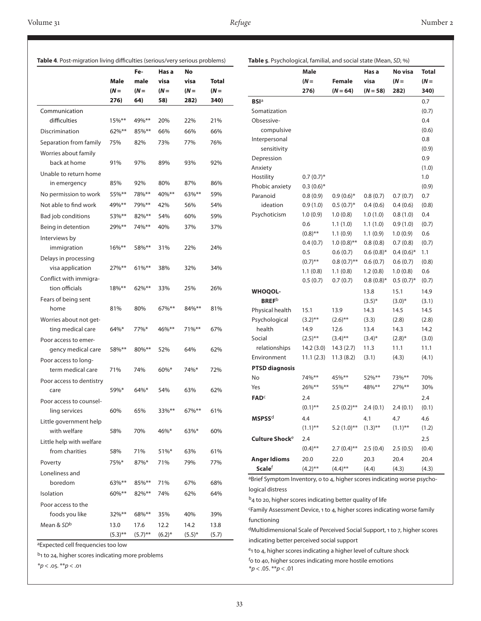|                                          |            | Fe-        | Has a     | No        |              |
|------------------------------------------|------------|------------|-----------|-----------|--------------|
|                                          | Male       | male       | visa      | visa      | <b>Total</b> |
|                                          | $(N =$     | $(N =$     | $(N =$    | $(N =$    | $(N =$       |
|                                          | 276)       | 64)        | 58)       | 282)      | 340)         |
| Communication                            |            |            |           |           |              |
| difficulties                             | 15%**      | 49%**      | 20%       | 22%       | 21%          |
| Discrimination                           | $62\%$ **  | $85\%***$  | 66%       | 66%       | 66%          |
| Separation from family                   | 75%        | 82%        | 73%       | 77%       | 76%          |
| Worries about family                     |            |            |           |           |              |
| back at home                             | 91%        | 97%        | 89%       | 93%       | 92%          |
| Unable to return home                    |            |            |           |           |              |
| in emergency                             | 85%        | 92%        | 80%       | 87%       | 86%          |
| No permission to work                    | 55%**      | 78%**      | 40%**     | 63%**     | 59%          |
| Not able to find work                    | 49%**      | 79%**      | 42%       | 56%       | 54%          |
| Bad job conditions                       | 53%**      | 82%**      | 54%       | 60%       | 59%          |
| Being in detention                       | 29%**      | 74%**      | 40%       | 37%       | 37%          |
| Interviews by                            |            |            |           |           |              |
| immigration                              | $16\%***$  | 58%**      | 31%       | 22%       | 24%          |
| Delays in processing                     |            |            |           |           |              |
| visa application                         | 27%**      | $61\%***$  | 38%       | 32%       | 34%          |
| Conflict with immigra-                   |            |            |           |           |              |
| tion officials                           | $18\%***$  | $62\%$ **  | 33%       | 25%       | 26%          |
| Fears of being sent                      |            |            |           |           |              |
| home                                     | 81%        | 80%        | $67\%$ ** | 84%**     | 81%          |
| Worries about not get-                   |            |            |           |           |              |
| ting medical care                        | 64%*       | 77%*       | 46%**     | 71%**     | 67%          |
| Poor access to emer-                     |            |            |           |           |              |
| gency medical care                       | 58%**      | 80%**      | 52%       | 64%       | 62%          |
| Poor access to long-                     |            |            |           |           |              |
| term medical care                        | 71%        | 74%        | $60\%*$   | 74%*      | 72%          |
| Poor access to dentistry                 |            |            |           |           |              |
| care                                     | 59%*       | $64\%$ *   | 54%       | 63%       | 62%          |
| Poor access to counsel-<br>ling services | 60%        | 65%        | 33%**     | 67%**     | 61%          |
| Little government help                   |            |            |           |           |              |
| with welfare                             | 58%        | 70%        | 46%*      | 63%*      | 60%          |
| Little help with welfare                 |            |            |           |           |              |
| from charities                           | 58%        | 71%        | $51\%$ *  | 63%       | 61%          |
| Poverty                                  | 75%*       | 87%*       | 71%       | 79%       | 77%          |
| Loneliness and                           |            |            |           |           |              |
| boredom                                  | $63\%***$  | $85\%***$  | 71%       | 67%       | 68%          |
| Isolation                                | $60\%***$  | 82%**      | 74%       | 62%       | 64%          |
| Poor access to the                       |            |            |           |           |              |
| foods you like                           | $32\%$ **  | 68%**      | 35%       | 40%       | 39%          |
| Mean & SD <sup>b</sup>                   | 13.0       | 17.6       | 12.2      | 14.2      | 13.8         |
|                                          | $(5.3)$ ** | $(5.7)$ ** | $(6.2)*$  | $(5.5)^*$ | (5.7)        |

|                            | <b>Male</b>       |                       | Has a       | No visa      | <b>Total</b> |
|----------------------------|-------------------|-----------------------|-------------|--------------|--------------|
|                            | $(N =$            | <b>Female</b>         | visa        | $(N =$       | $(N =$       |
|                            | 276)              | $(N = 64)$            | $(N = 58)$  | 282)         | 340)         |
| <b>BSI</b> <sup>a</sup>    |                   |                       |             |              | 0.7          |
| Somatization               |                   |                       |             |              | (0.7)        |
| Obsessive-                 |                   |                       |             |              | 0.4          |
| compulsive                 |                   |                       |             |              | (0.6)        |
| Interpersonal              |                   |                       |             |              | 0.8          |
| sensitivity                |                   |                       |             |              | (0.9)        |
| Depression                 |                   |                       |             |              | 0.9          |
| Anxiety                    |                   |                       |             |              | (1.0)        |
| Hostility                  | $0.7(0.7)$ *      |                       |             |              | 1.0          |
| Phobic anxiety             | $0.3(0.6)*$       |                       |             |              | (0.9)        |
| Paranoid                   | 0.8(0.9)          | $0.9(0.6)*$           | 0.8(0.7)    | 0.7(0.7)     | 0.7          |
| ideation                   | 0.9(1.0)          | $0.5(0.7)*$           | 0.4(0.6)    | 0.4(0.6)     | (0.8)        |
| Psychoticism               | 1.0(0.9)          | 1.0(0.8)              | 1.0(1.0)    | 0.8(1.0)     | 0.4          |
|                            | 0.6               | 1.1(1.0)              | 1.1(1.0)    | 0.9(1.0)     | (0.7)        |
|                            | $(0.8)$ **        | 1.1(0.9)              | 1.1(0.9)    | 1.0(0.9)     | 0.6          |
|                            | 0.4(0.7)          | $1.0(0.8)$ **         | 0.8(0.8)    | 0.7(0.8)     | (0.7)        |
|                            | 0.5               | 0.6(0.7)              | $0.6(0.8)*$ | $0.4(0.6)*$  | 1.1          |
|                            | $(0.7)$ **        | $0.8(0.7)$ **         | 0.6(0.7)    | 0.6(0.7)     | (0.8)        |
|                            | 1.1(0.8)          | 1.1(0.8)              | 1.2(0.8)    | 1.0(0.8)     | 0.6          |
|                            | 0.5(0.7)          | 0.7(0.7)              | $0.8(0.8)*$ | $0.5(0.7)$ * | (0.7)        |
| <b>WHOQOL-</b>             |                   |                       | 13.8        | 15.1         | 14.9         |
| <b>BREF</b> <sup>b</sup>   |                   |                       | $(3.5)^*$   | $(3.0)*$     | (3.1)        |
| Physical health            | 15.1              | 13.9                  | 14.3        | 14.5         | 14.5         |
| Psychological              | $(3.2)$ **        | $(2.6)$ <sup>**</sup> | (3.3)       | (2.8)        | (2.8)        |
| health                     | 14.9              | 12.6                  | 13.4        | 14.3         | 14.2         |
| Social                     | $(2.5)$ **        | $(3.4)$ **            | $(3.4)^*$   | $(2.8)^*$    | (3.0)        |
| relationships              | 14.2(3.0)         | 14.3(2.7)             | 11.3        | 11.1         | 11.1         |
| Environment                | 11.1(2.3)         | 11.3(8.2)             | (3.1)       | (4.3)        | (4.1)        |
| <b>PTSD diagnosis</b>      |                   |                       |             |              |              |
| No                         | 74%**             | 45%**                 | 52%**       | 73%**        | 70%          |
| Yes                        | 26%**             | 55%**                 | 48%**       | $27\%$ **    | 30%          |
| <b>FAD</b> <sup>c</sup>    | 2.4               |                       |             |              | 2.4          |
|                            | $(0.1)$ **        | $2.5(0.2)$ **         | 2.4(0.1)    | 2.4(0.1)     | (0.1)        |
| MSPSS <sup>d</sup>         | 4.4               |                       | 4.1         | 4.7          | 4.6          |
|                            | $(1.1)$ **        | $5.2(1.0)$ **         | $(1.3)$ **  | $(1.1)$ **   | (1.2)        |
|                            |                   |                       |             |              |              |
| Culture Shock <sup>e</sup> | 2.4<br>$(0.4)$ ** | $2.7(0.4)$ **         |             |              | 2.5          |
|                            |                   |                       | 2.5(0.4)    | 2.5(0.5)     | (0.4)        |
| <b>Anger Idioms</b>        | 20.0              | 22.0                  | 20.3        | 20.4         | 20.4         |
| <b>Scale</b> f             | $(4.2)$ **        | $(4.4)$ **            | (4.4)       | (4.3)        | (4.3)        |

 $b_4$  to 20, higher scores indicating better quality of life

cFamily Assessment Device, 1 to 4, higher scores indicating worse family functioning

dMultidimensional Scale of Perceived Social Support, 1 to 7, higher scores indicating better perceived social support

e1 to 4, higher scores indicating a higher level of culture shock

<sup>f</sup>o to 40, higher scores indicating more hostile emotions

\**p* < .05. \*\**p* < .01

aExpected cell frequencies too low

 $b_1$  to 24, higher scores indicating more problems

\**p* < .05. \*\**p* < .01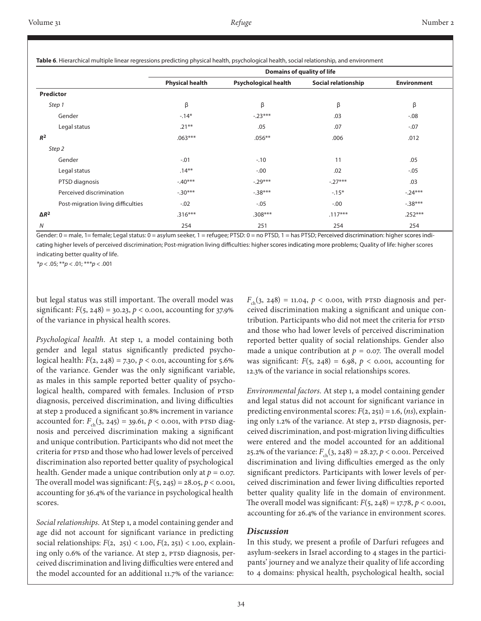|                                    | <b>Domains of quality of life</b> |                             |                     |                    |  |  |
|------------------------------------|-----------------------------------|-----------------------------|---------------------|--------------------|--|--|
|                                    | <b>Physical health</b>            | <b>Psychological health</b> | Social relationship | <b>Environment</b> |  |  |
| Predictor                          |                                   |                             |                     |                    |  |  |
| Step 1                             | β                                 | β                           | β                   | β                  |  |  |
| Gender                             | $-14*$                            | $-.23***$                   | .03                 | $-.08$             |  |  |
| Legal status                       | $.21***$                          | .05                         | .07                 | $-.07$             |  |  |
| $R^2$                              | $.063***$                         | $.056**$                    | .006                | .012               |  |  |
| Step 2                             |                                   |                             |                     |                    |  |  |
| Gender                             | $-.01$                            | $-10$                       | 11                  | .05                |  |  |
| Legal status                       | $.14***$                          | $-.00$                      | .02                 | $-.05$             |  |  |
| PTSD diagnosis                     | $-.40***$                         | $-.29***$                   | $-.27***$           | .03                |  |  |
| Perceived discrimination           | $-.30***$                         | $-.38***$                   | $-15*$              | $-.24***$          |  |  |
| Post-migration living difficulties | $-.02$                            | $-.05$                      | $-0.00$             | $-0.38***$         |  |  |
| $\Delta R^2$                       | $.316***$                         | $.308***$                   | $.117***$           | $.252***$          |  |  |
| N                                  | 254                               | 251                         | 254                 | 254                |  |  |

**Table 6**. Hierarchical multiple linear regressions predicting physical health, psychological health, social relationship, and environment

Gender: 0 = male, 1= female; Legal status: 0 = asylum seeker, 1 = refugee; PTSD: 0 = no PTSD, 1 = has PTSD; Perceived discrimination: higher scores indicating higher levels of perceived discrimination; Post-migration living difficulties: higher scores indicating more problems; Quality of life: higher scores indicating better quality of life.

\**p* < .05; \*\**p* < .01; \*\*\**p* < .001

but legal status was still important. The overall model was significant:  $F(5, 248) = 30.23$ ,  $p < 0.001$ , accounting for 37.9% of the variance in physical health scores.

*Psychological health.* At step 1, a model containing both gender and legal status significantly predicted psychological health:  $F(2, 248) = 7.30, p < 0.01$ , accounting for 5.6% of the variance. Gender was the only significant variable, as males in this sample reported better quality of psychological health, compared with females. Inclusion of PTSD diagnosis, perceived discrimination, and living difficulties at step 2 produced a significant 30.8% increment in variance accounted for:  $F_{ch}(3, 245) = 39.61, p < 0.001$ , with PTSD diagnosis and perceived discrimination making a significant and unique contribution. Participants who did not meet the criteria for PTSD and those who had lower levels of perceived discrimination also reported better quality of psychological health. Gender made a unique contribution only at *p* = 0.07. The overall model was significant:  $F(5, 245) = 28.05$ ,  $p < 0.001$ , accounting for 36.4% of the variance in psychological health scores.

*Social relationships.* At Step 1, a model containing gender and age did not account for significant variance in predicting social relationships: *F*(2, 251) < 1.00, *F*(2, 251) < 1.00, explaining only 0.6% of the variance. At step 2, PTSD diagnosis, perceived discrimination and living difficulties were entered and the model accounted for an additional 11.7% of the variance:

 $F_{ch}(3, 248) = 11.04, p <$  0.001, with PTSD diagnosis and perceived discrimination making a significant and unique contribution. Participants who did not meet the criteria for PTSD and those who had lower levels of perceived discrimination reported better quality of social relationships. Gender also made a unique contribution at  $p = 0.07$ . The overall model was significant:  $F(5, 248) = 6.98$ ,  $p < 0.001$ , accounting for 12.3% of the variance in social relationships scores.

*Environmental factors.* At step 1, a model containing gender and legal status did not account for significant variance in predicting environmental scores: *F*(2, 251) = 1.6, (*ns*), explaining only 1.2% of the variance. At step 2, PTSD diagnosis, perceived discrimination, and post-migration living difficulties were entered and the model accounted for an additional 25.2% of the variance:  $F_{ch}(3, 248) = 28.27$ ,  $p < 0.001$ . Perceived discrimination and living difficulties emerged as the only significant predictors. Participants with lower levels of perceived discrimination and fewer living difficulties reported better quality quality life in the domain of environment. The overall model was significant:  $F(5, 248) = 17.78$ ,  $p < 0.001$ , accounting for 26.4% of the variance in environment scores.

# *Discussion*

In this study, we present a profile of Darfuri refugees and asylum-seekers in Israel according to 4 stages in the participants' journey and we analyze their quality of life according to 4 domains: physical health, psychological health, social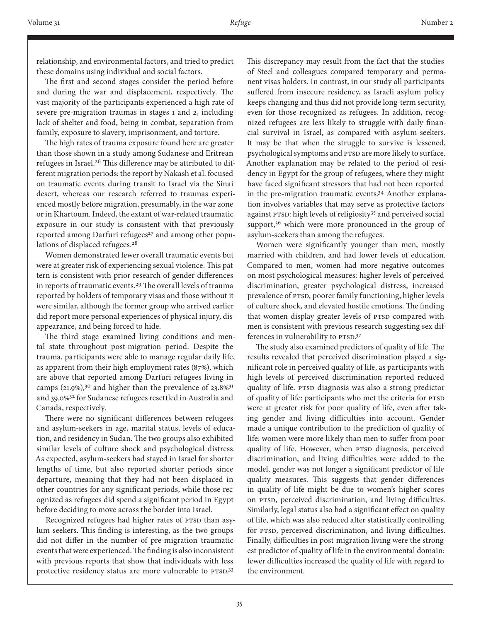relationship, and environmental factors, and tried to predict these domains using individual and social factors.

The first and second stages consider the period before and during the war and displacement, respectively. The vast majority of the participants experienced a high rate of severe pre-migration traumas in stages 1 and 2, including lack of shelter and food, being in combat, separation from family, exposure to slavery, imprisonment, and torture.

The high rates of trauma exposure found here are greater than those shown in a study among Sudanese and Eritrean refugees in Israel.<sup>26</sup> This difference may be attributed to different migration periods: the report by Nakash et al. focused on traumatic events during transit to Israel via the Sinai desert, whereas our research referred to traumas experienced mostly before migration, presumably, in the war zone or in Khartoum. Indeed, the extant of war-related traumatic exposure in our study is consistent with that previously reported among Darfuri refugees<sup>27</sup> and among other populations of displaced refugees.<sup>28</sup>

Women demonstrated fewer overall traumatic events but were at greater risk of experiencing sexual violence. This pattern is consistent with prior research of gender differences in reports of traumatic events.<sup>29</sup> The overall levels of trauma reported by holders of temporary visas and those without it were similar, although the former group who arrived earlier did report more personal experiences of physical injury, disappearance, and being forced to hide.

The third stage examined living conditions and mental state throughout post-migration period. Despite the trauma, participants were able to manage regular daily life, as apparent from their high employment rates (87%), which are above that reported among Darfuri refugees living in camps (21.9%),<sup>30</sup> and higher than the prevalence of 23.8%<sup>31</sup> and 39.0%32 for Sudanese refugees resettled in Australia and Canada, respectively.

There were no significant differences between refugees and asylum-seekers in age, marital status, levels of education, and residency in Sudan. The two groups also exhibited similar levels of culture shock and psychological distress. As expected, asylum-seekers had stayed in Israel for shorter lengths of time, but also reported shorter periods since departure, meaning that they had not been displaced in other countries for any significant periods, while those recognized as refugees did spend a significant period in Egypt before deciding to move across the border into Israel.

Recognized refugees had higher rates of PTSD than asylum-seekers. This finding is interesting, as the two groups did not differ in the number of pre-migration traumatic events that were experienced. The finding is also inconsistent with previous reports that show that individuals with less protective residency status are more vulnerable to PTSD.33

This discrepancy may result from the fact that the studies of Steel and colleagues compared temporary and permanent visas holders. In contrast, in our study all participants suffered from insecure residency, as Israeli asylum policy keeps changing and thus did not provide long-term security, even for those recognized as refugees. In addition, recognized refugees are less likely to struggle with daily financial survival in Israel, as compared with asylum-seekers. It may be that when the struggle to survive is lessened, psychological symptoms and PTSD are more likely to surface. Another explanation may be related to the period of residency in Egypt for the group of refugees, where they might have faced significant stressors that had not been reported in the pre-migration traumatic events.34 Another explanation involves variables that may serve as protective factors against PTSD: high levels of religiosity35 and perceived social support,<sup>36</sup> which were more pronounced in the group of asylum-seekers than among the refugees.

Women were significantly younger than men, mostly married with children, and had lower levels of education. Compared to men, women had more negative outcomes on most psychological measures: higher levels of perceived discrimination, greater psychological distress, increased prevalence of PTSD, poorer family functioning, higher levels of culture shock, and elevated hostile emotions. The finding that women display greater levels of PTSD compared with men is consistent with previous research suggesting sex differences in vulnerability to PTSD.37

The study also examined predictors of quality of life. The results revealed that perceived discrimination played a significant role in perceived quality of life, as participants with high levels of perceived discrimination reported reduced quality of life. PTSD diagnosis was also a strong predictor of quality of life: participants who met the criteria for PTSD were at greater risk for poor quality of life, even after taking gender and living difficulties into account. Gender made a unique contribution to the prediction of quality of life: women were more likely than men to suffer from poor quality of life. However, when PTSD diagnosis, perceived discrimination, and living difficulties were added to the model, gender was not longer a significant predictor of life quality measures. This suggests that gender differences in quality of life might be due to women's higher scores on PTSD, perceived discrimination, and living difficulties. Similarly, legal status also had a significant effect on quality of life, which was also reduced after statistically controlling for PTSD, perceived discrimination, and living difficulties. Finally, difficulties in post-migration living were the strongest predictor of quality of life in the environmental domain: fewer difficulties increased the quality of life with regard to the environment.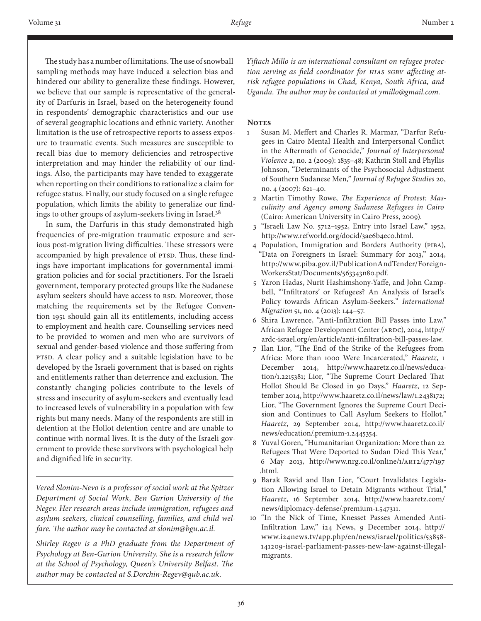The study has a number of limitations. The use of snowball sampling methods may have induced a selection bias and hindered our ability to generalize these findings. However, we believe that our sample is representative of the generality of Darfuris in Israel, based on the heterogeneity found in respondents' demographic characteristics and our use of several geographic locations and ethnic variety. Another limitation is the use of retrospective reports to assess exposure to traumatic events. Such measures are susceptible to recall bias due to memory deficiencies and retrospective interpretation and may hinder the reliability of our findings. Also, the participants may have tended to exaggerate when reporting on their conditions to rationalize a claim for refugee status. Finally, our study focused on a single refugee population, which limits the ability to generalize our findings to other groups of asylum-seekers living in Israel.38

In sum, the Darfuris in this study demonstrated high frequencies of pre-migration traumatic exposure and serious post-migration living difficulties. These stressors were accompanied by high prevalence of PTSD. Thus, these findings have important implications for governmental immigration policies and for social practitioners. For the Israeli government, temporary protected groups like the Sudanese asylum seekers should have access to RSD. Moreover, those matching the requirements set by the Refugee Convention 1951 should gain all its entitlements, including access to employment and health care. Counselling services need to be provided to women and men who are survivors of sexual and gender-based violence and those suffering from PTSD. A clear policy and a suitable legislation have to be developed by the Israeli government that is based on rights and entitlements rather than deterrence and exclusion. The constantly changing policies contribute to the levels of stress and insecurity of asylum-seekers and eventually lead to increased levels of vulnerability in a population with few rights but many needs. Many of the respondents are still in detention at the Hollot detention centre and are unable to continue with normal lives. It is the duty of the Israeli government to provide these survivors with psychological help and dignified life in security.

*Vered Slonim-Nevo is a professor of social work at the Spitzer Department of Social Work, Ben Gurion University of the Negev. Her research areas include immigration, refugees and asylum-seekers, clinical counselling, families, and child welfare. The author may be contacted at slonim@bgu.ac.il.* 

*Shirley Regev is a PhD graduate from the Department of Psychology at Ben-Gurion University. She is a research fellow at the School of Psychology, Queen's University Belfast. The author may be contacted at S.Dorchin-Regev@qub.ac.uk.*

*Yiftach Millo is an international consultant on refugee protection serving as field coordinator for HIAS SGBV affecting atrisk refugee populations in Chad, Kenya, South Africa, and Uganda. The author may be contacted at ymillo@gmail.com.* 

## **NOTES**

- 1 Susan M. Meffert and Charles R. Marmar, "Darfur Refugees in Cairo Mental Health and Interpersonal Conflict in the Aftermath of Genocide," *Journal of Interpersonal Violence* 2, no. 2 (2009): 1835–48; Kathrin Stoll and Phyllis Johnson, "Determinants of the Psychosocial Adjustment of Southern Sudanese Men," *Journal of Refugee Studies* 20, no. 4 (2007): 621–40.
	- 2 Martin Timothy Rowe, *The Experience of Protest: Masculinity and Agency among Sudanese Refugees in Cairo* (Cairo: American University in Cairo Press, 2009).
	- 3 "Israeli Law No. 5712–1952, Entry into Israel Law," 1952, http://www.refworld.org/docid/3ae6b4eco.html.
	- 4 Population, Immigration and Borders Authority (PIBA), "Data on Foreigners in Israel: Summary for 2013," 2014, http://www.piba.gov.il/PublicationAndTender/Foreign-WorkersStat/Documents/563343n80.pdf.
	- 5 Yaron Hadas, Nurit Hashimshony**‐**Yaffe, and John Campbell, "'Infiltrators' or Refugees? An Analysis of Israel's Policy towards African Asylum**‐**Seekers." *International Migration* 51, no. 4 (2013): 144–57.
	- 6 Shira Lawrence, "Anti-Infiltration Bill Passes into Law," African Refugee Development Center (ARDC), 2014, http:// ardc-israel.org/en/article/anti-infiltration-bill-passes-law.
	- 7 Ilan Lior, "The End of the Strike of the Refugees from Africa: More than 1000 Were Incarcerated," *Haaretz*, 1 December 2014, http://www.haaretz.co.il/news/education/1.2215381; Lior, "The Supreme Court Declared That Hollot Should Be Closed in 90 Days," *Haaretz*, 12 September 2014, http://www.haaretz.co.il/news/law/1.2438172; Lior, "The Government Ignores the Supreme Court Decision and Continues to Call Asylum Seekers to Hollot," *Haaretz*, 29 September 2014, http://www.haaretz.co.il/ news/education/.premium-1.2445354.
	- 8 Yuval Goren, "Humanitarian Organization: More than 22 Refugees That Were Deported to Sudan Died This Year," 6 May 2013, http://www.nrg.co.il/online/1/ART2/477/197 .html.
	- 9 Barak Ravid and Ilan Lior, "Court Invalidates Legislation Allowing Israel to Detain Migrants without Trial," *Haaretz*, 16 September 2014, http://www.haaretz.com/ news/diplomacy-defense/.premium-1.547311.
- 10 "In the Nick of Time, Knesset Passes Amended Anti-Infiltration Law," i24 News, 9 December 2014, http:// www.i24news.tv/app.php/en/news/israel/politics/53858- 141209-israel-parliament-passes-new-law-against-illegalmigrants.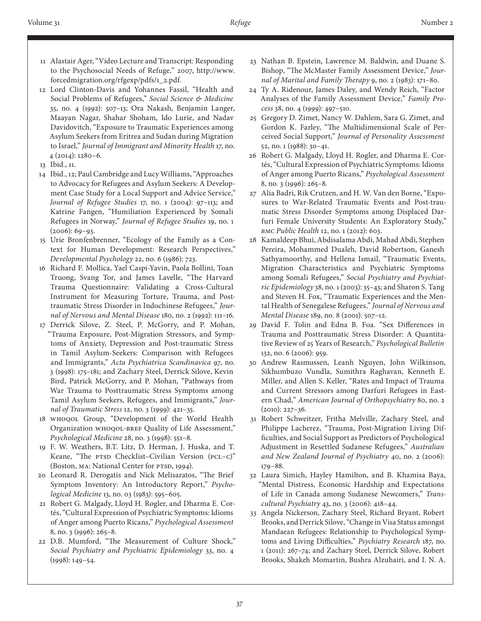- 11 Alastair Ager, "Video Lecture and Transcript: Responding to the Psychosocial Needs of Refuge," 2007, http://www. forcedmigration.org/rfgexp/pdfs/1\_2.pdf.
- 12 Lord Clinton-Davis and Yohannes Fassil, "Health and Social Problems of Refugees," *Social Science & Medicine* 35, no. 4 (1992): 507–13; Ora Nakash, Benjamin Langer, Maayan Nagar, Shahar Shoham, Ido Lurie, and Nadav Davidovitch, "Exposure to Traumatic Experiences among Asylum Seekers from Eritrea and Sudan during Migration to Israel," *Journal of Immigrant and Minority Health* 17, no. 4 (2014): 1280–6.

- 14 Ibid., 12; Paul Cambridge and Lucy Williams, "Approaches to Advocacy for Refugees and Asylum Seekers: A Development Case Study for a Local Support and Advice Service," *Journal of Refugee Studies* 17, no. 1 (2004): 97–113; and Katrine Fangen, "Humiliation Experienced by Somali Refugees in Norway," *Journal of Refugee Studies* 19, no. 1 (2006): 69–93.
- 15 Urie Bronfenbrenner, "Ecology of the Family as a Context for Human Development: Research Perspectives," *Developmental Psychology* 22, no. 6 (1986): 723.
- 16 Richard F. Mollica, Yael Caspi-Yavin, Paola Bollini, Toan Truong, Svang Tor, and James Lavelle, "The Harvard Trauma Questionnaire: Validating a Cross-Cultural Instrument for Measuring Torture, Trauma, and Posttraumatic Stress Disorder in Indochinese Refugees," *Journal of Nervous and Mental Disease* 180, no. 2 (1992): 111–16.
- 17 Derrick Silove, Z. Steel, P. McGorry, and P. Mohan, "Trauma Exposure, Post-Migration Stressors, and Symptoms of Anxiety, Depression and Post-traumatic Stress in Tamil Asylum-Seekers: Comparison with Refugees and Immigrants," *Acta Psychiatrica Scandinavica* 97, no. 3 (1998): 175–181; and Zachary Steel, Derrick Silove, Kevin Bird, Patrick McGorry, and P. Mohan, "Pathways from War Trauma to Posttraumatic Stress Symptoms among Tamil Asylum Seekers, Refugees, and Immigrants," *Journal of Traumatic Stress* 12, no. 3 (1999): 421–35.
- 18 WHOQoL Group, "Development of the World Health Organization WHOQOL-BREF Quality of Life Assessment," *Psychological Medicine* 28, no. 3 (1998): 551–8.
- 19 F. W. Weathers, B.T. Litz, D. Herman, J. Huska, and T. Keane, "The PTSD Checklist–Civilian Version (PCL–C)" (Boston, MA: National Center for PTSD, 1994).
- 20 Leonard R. Derogatis and Nick Melisaratos, "The Brief Symptom Inventory: An Introductory Report," *Psychological Medicine* 13, no. 03 (1983): 595–605.
- 21 Robert G. Malgady, Lloyd H. Rogler, and Dharma E. Cortés, "Cultural Expression of Psychiatric Symptoms: Idioms of Anger among Puerto Ricans," *Psychological Assessment* 8, no. 3 (1996): 265–8.
- 22 D.B. Mumford, "The Measurement of Culture Shock," *Social Psychiatry and Psychiatric Epidemiology* 33, no. 4 (1998): 149–54.
- 23 Nathan B. Epstein, Lawrence M. Baldwin, and Duane S. Bishop, "The McMaster Family Assessment Device," *Journal of Marital and Family Therapy* 9, no. 2 (1983): 171–80.
- 24 Ty A. Ridenour, James Daley, and Wendy Reich, "Factor Analyses of the Family Assessment Device," *Family Process* 38, no. 4 (1999): 497–510.
- 25 Gregory D. Zimet, Nancy W. Dahlem, Sara G. Zimet, and Gordon K. Farley, "The Multidimensional Scale of Perceived Social Support," *Journal of Personality Assessment* 52, no. 1 (1988): 30–41.
- 26 Robert G. Malgady, Lloyd H. Rogler, and Dharma E. Cortés, "Cultural Expression of Psychiatric Symptoms: Idioms of Anger among Puerto Ricans," *Psychological Assessment* 8, no. 3 (1996): 265–8.
- 27 Alia Badri, Rik Crutzen, and H. W. Van den Borne, "Exposures to War-Related Traumatic Events and Post-traumatic Stress Disorder Symptoms among Displaced Darfuri Female University Students: An Exploratory Study," *BMC Public Health* 12, no. 1 (2012): 603.
- 28 Kamaldeep Bhui, Abdisalama Abdi, Mahad Abdi, Stephen Pereira, Mohammed Dualeh, David Robertson, Ganesh Sathyamoorthy, and Hellena Ismail, "Traumatic Events, Migration Characteristics and Psychiatric Symptoms among Somali Refugees," *Social Psychiatry and Psychiatric Epidemiology* 38, no. 1 (2003): 35–43; and Sharon S. Tang and Steven H. Fox, "Traumatic Experiences and the Mental Health of Senegalese Refugees," *Journal of Nervous and Mental Disease* 189, no. 8 (2001): 507–12.
- 29 David F. Tolin and Edna B. Foa. "Sex Differences in Trauma and Posttraumatic Stress Disorder: A Quantitative Review of 25 Years of Research," *Psychological Bulletin* 132, no. 6 (2006): 959.
- 30 Andrew Rasmussen, Leanh Nguyen, John Wilkinson, Sikhumbuzo Vundla, Sumithra Raghavan, Kenneth E. Miller, and Allen S. Keller, "Rates and Impact of Trauma and Current Stressors among Darfuri Refugees in Eastern Chad," *American Journal of Orthopsychiatry* 80, no. 2 (2010): 227–36.
- 31 Robert Schweitzer, Fritha Melville, Zachary Steel, and Philippe Lacherez, "Trauma, Post-Migration Living Difficulties, and Social Support as Predictors of Psychological Adjustment in Resettled Sudanese Refugees," *Australian and New Zealand Journal of Psychiatry* 40, no. 2 (2006): 179–88.
- 32 Laura Simich, Hayley Hamilton, and B. Khamisa Baya, "Mental Distress, Economic Hardship and Expectations of Life in Canada among Sudanese Newcomers," *Transcultural Psychiatry* 43, no. 3 (2006): 418–44.
- 33 Angela Nickerson, Zachary Steel, Richard Bryant, Robert Brooks, and Derrick Silove, "Change in Visa Status amongst Mandaean Refugees: Relationship to Psychological Symptoms and Living Difficulties," *Psychiatry Research* 187, no. 1 (2011): 267–74; and Zachary Steel, Derrick Silove, Robert Brooks, Shakeh Momartin, Bushra Alzuhairi, and I. N. A.

<sup>13</sup> Ibid., 11.